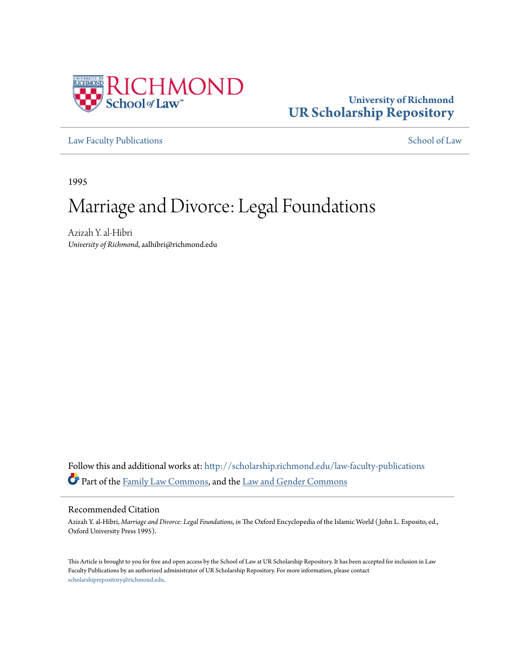

## **University of Richmond [UR Scholarship Repository](http://scholarship.richmond.edu?utm_source=scholarship.richmond.edu%2Flaw-faculty-publications%2F384&utm_medium=PDF&utm_campaign=PDFCoverPages)**

[Law Faculty Publications](http://scholarship.richmond.edu/law-faculty-publications?utm_source=scholarship.richmond.edu%2Flaw-faculty-publications%2F384&utm_medium=PDF&utm_campaign=PDFCoverPages) [School of Law](http://scholarship.richmond.edu/law?utm_source=scholarship.richmond.edu%2Flaw-faculty-publications%2F384&utm_medium=PDF&utm_campaign=PDFCoverPages)

1995

# Marriage and Divorce: Legal Foundations

Azizah Y. al-Hibri *University of Richmond*, aalhibri@richmond.edu

Follow this and additional works at: [http://scholarship.richmond.edu/law-faculty-publications](http://scholarship.richmond.edu/law-faculty-publications?utm_source=scholarship.richmond.edu%2Flaw-faculty-publications%2F384&utm_medium=PDF&utm_campaign=PDFCoverPages) Part of the [Family Law Commons,](http://network.bepress.com/hgg/discipline/602?utm_source=scholarship.richmond.edu%2Flaw-faculty-publications%2F384&utm_medium=PDF&utm_campaign=PDFCoverPages) and the [Law and Gender Commons](http://network.bepress.com/hgg/discipline/1298?utm_source=scholarship.richmond.edu%2Flaw-faculty-publications%2F384&utm_medium=PDF&utm_campaign=PDFCoverPages)

## Recommended Citation

Azizah Y. al-Hibri, *Marriage and Divorce: Legal Foundations, in* The Oxford Encyclopedia of the Islamic World ( John L. Esposito, ed., Oxford University Press 1995).

This Article is brought to you for free and open access by the School of Law at UR Scholarship Repository. It has been accepted for inclusion in Law Faculty Publications by an authorized administrator of UR Scholarship Repository. For more information, please contact [scholarshiprepository@richmond.edu.](mailto:scholarshiprepository@richmond.edu)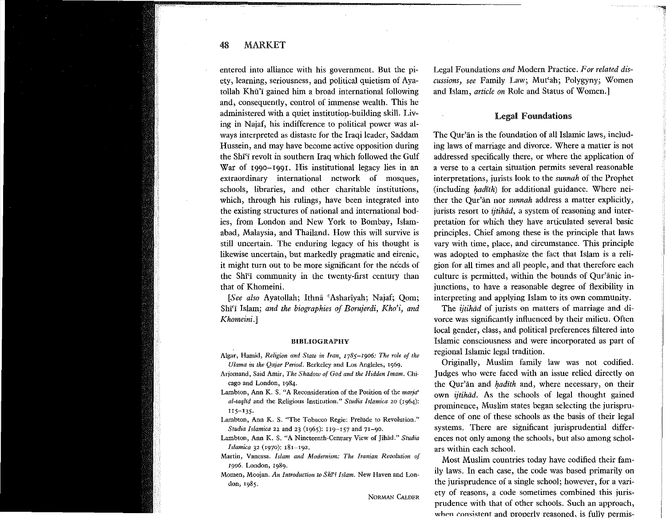entered into alliance with his government. But the pi**ety, learning, seriousness, and political quietism of Aya**tollah Khū'ī gained him a broad international following and, consequently, control of immense wealth. This he administered with a quiet institution-building skill. Living in Najaf, his indifference to political power was always interpreted as distaste for the Iraqi leader, Saddam **Hussein, and may have become active opposition during**  the Shi'i revolt in southern Iraq which followed the Gulf War of 1990-1991. His institutional legacy lies in an **extraordinary international network of mosques, schools, libraries, and other charitable institutions,**  which, through his rulings, have been integrated into the existing structures of national and international bodies, from London and New York to Bombay, Islamabad, Malaysia, and Thailand. How this will survive is still uncertain. The enduring legacy of his thought is **likewise uncertain, but markedly pragmatic and eirenic,**  it might turn out to be more significant for the needs of the Shi'l community in the twenty-first century than that of Khomeini.

*[See also* Ayatollah; Ithna 'Asharlyah; Najaf; Qom; Shi<sup>e</sup> Islam; *and the biographies of Borujerdi, Kho'i, and Khomeini.]* 

#### BIBLIOGRAPHY

- **Algar, Hamid,** *Religion and State in Iran, 1785-1906: The role of the Ulama in the Qajar Period.* **Berkeley and Los Angleles, 1969.**
- **Arjomand, Said Amir,** *The Shadow of God and the Hidden Imam.* Chi~ **cago and London, 1984.**
- Lambton, Ann K. S. "A Reconsideration of the Position of the *marja*<sup>c</sup> *al-taqlfd* **and the Religious Institution."** *Studia Islamica* **20 (1964): 115-135.**
- **Lambton, Ann K. S. "The Tobacco Regie: Prelude to Revolution."**  *Studia Islamica* **22 and 23 (1965): 119-157 and 71-90.**
- **Lambton, Ann K. S. "A Nineteenth-Century View of Jihad."** *Studia Islamica* **32 (1970): 181-192.**
- **Martin, Vanessa.** *Islam and Modernism: The Iranian Revolution of I906.* **London, 1989.**
- Momen, Moojan. An Introduction to Shi'i Islam. New Haven and Lon**don, 1985.**

**NORMAN CALDER** 

Legal Foundations *and* Modern Practice. *For related discussions, see* **Family Law; Mut'ah; Polygyny; Women**  and Islam, *article on* Role and Status of Women.]

## Legal Foundations

The Qur'an is the foundation of all Islamic laws, includ**ing laws of marriage and divorce. Where a matter is not**  addressed specifically there, or where the application of **a verse to a certain situation permits several reasonable**  interpretations, jurists look to the *sunnah* of the Prophet (including *hadith*) for additional guidance. Where neither the Qur'an nor *sunnah* address a matter explicitly, jurists resort to *ijtihad*, a system of reasoning and interpretation for which they have articulated several basic principles. Chief among these is the principle that laws **vary with time, place, and circumstance. This principle**  was adopted to emphasize the fact that Islam is a religion for all times and all people, and that therefore each culture is permitted, within the bounds of Qur'anic injunctions, to have a reasonable degree of flexibility in interpreting and applying Islam to its own community.

The *ijtihad* of jurists on matters of marriage and divorce was significantly influenced by their milieu. Often local gender, class, and political preferences filtered into **Islamic consciousness and were incorporated as part of**  regional Islamic legal tradition.

Originally, Muslim family law was not codified. Judges who were faced with an issue relied directly on the Qur'an and *hadith* and, where necessary, on their own *ijtihad*. As the schools of legal thought gained **prominence, Muslim states began selecting the jurispru**dence of one of these schools as the basis of their legal systems. There are significant jurisprudential differences not only among the schools, but also among scholars within each school.

Most Muslim countries today have codified their family laws. In each case, the code was based primarily on **the jurisprudence of a single school; however, for a variety of reasons, a code sometimes combined this juris**prudence with that of other schools. Such an approach, when consistent and properly reasoned, is fully permis-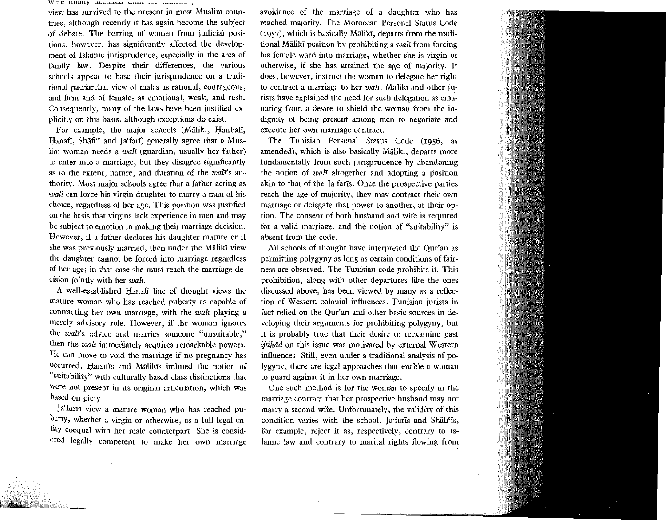**view has survived to the present in most Muslim coun**tries, although recently it has again become the subject of debate. The barring of women from judicial positions, however, has significantly affected the develop**ment of Islamic jurisprudence, especially in the area of**  family law. Despite their differences, the various schools appear to base their jurisprudence on a tradi**tional patriarchal view of males as rational, courageous,**  and firm and of females as emotional, weak, and rash. Consequently, many of the laws have been justified explicitly on this basis, although exceptions do exist.

For example, the major schools (Maliki, Hanbali, Hanafi, Shāfi'i and Ja'fari) generally agree that a Muslim woman needs a  $wali$  (guardian, usually her father) **to enter into a marriage, but they disagree significantly**  as to the extent, nature, and duration of the *wali*'s authority. Most major schools agree that a father acting as *wali* **can force his virgin daughter to marry a man of his**  choice, regardless of her age. This position was justified **on the basis that virgins lack experience in men and may be subject to emotion in making their marriage decision.**  However, if a father declares his daughter mature or if she was previously married, then under the Maliki view the daughter cannot be forced into marriage regardless **of her age; in that case she must reach the marriage de**cision jointly with her  $wab$ .

A well-established Hanafi line of thought views the mature woman who has reached puberty as capable of contracting her own marriage, with the wall playing a **merely advisory role. However, if the woman ignores the** *wali's* **advice and marries someone "unsuitable,"**  then the *wali* immediately acquires remarkable powers. **He can move to void the marriage if no pregnancy has**  occurred. Hanafis and Malikis imbued the notion of "suitability" with culturally based class distinctions that **were not present in its original articulation, which was**  based on piety.

**Ja'faris view a mature woman who has reached pu**berty, whether a virgin or otherwise, as a full legal entity coequal with her male counterpart. She is considered legally competent to make her own marriage

avoidance of the marriage of a daughter who has reached majority. The Moroccan Personal Status Code (1957), which is basically Maliki, departs from the traditional Mālikī position by prohibiting a wali from forcing **his female ward into marriage, whether she is virgin or**  otherwise, if she has attained the age of majority. It **does, however, instruct the woman to delegate her right**  to contract a marriage to her wali. Maliki and other jurists have explained the need for such delegation as emanating from a desire to shield the woman from the indignity of being present among men to negotiate and **execute her own marriage contract.** 

The Tunisian Personal Status Code (1956, as amended), which is also basically Maliki, departs more fundamentally from such jurisprudence by abandoning the notion of wall altogether and adopting a position akin to that of the Ja'faris. Once the prospective parties reach the age of majority, they may contract their own **marriage or delegate that power to another, at their op**tion. The consent of both husband and wife is required **for a valid marriage, and the notion of "suitability" is**  absent from the code.

All schools of thought have interpreted the Qur'an as permitting polygyny as long as certain conditions of fairness are observed. The Tunisian code prohibits it. This prohibition, along with other departures like the ones discussed above, has been viewed by many as a reflec**tion of Western colonial influences. Tunisian jurists in**  fact relied on the Qur'an and other basic sources in developing their arguments for prohibiting polygyny, but it is probably true that their desire to reexamine past *ijtihad* on this issue was motivated by external Western influences. Still, even under a traditional analysis of polygyny, there are legal approaches that enable a woman **to guard against it in her own marriage.** 

One such method is for the woman to specify in the marriage contract that her prospective husband may not marry a second wife. Unfortunately, the validity of this condition varies with the school. Ja faris and Shafi'is, **for example, reject it as, respectively, contrary to Is**lamic law and contrary to marital rights flowing from